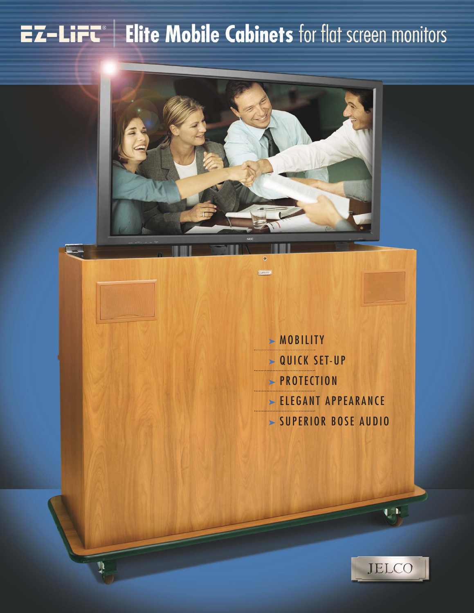## **EZ-LIFT** | Elite Mobile Cabinets for flat screen monitors



 $\bullet$ force

➤ MOBILITY ➤ QUICK SET-UP ➤ PROTECTION ➤ ELEGANT APPEARANCE ➤ SUPERIOR BOSE AUDIO



 $\mathbf{L}$